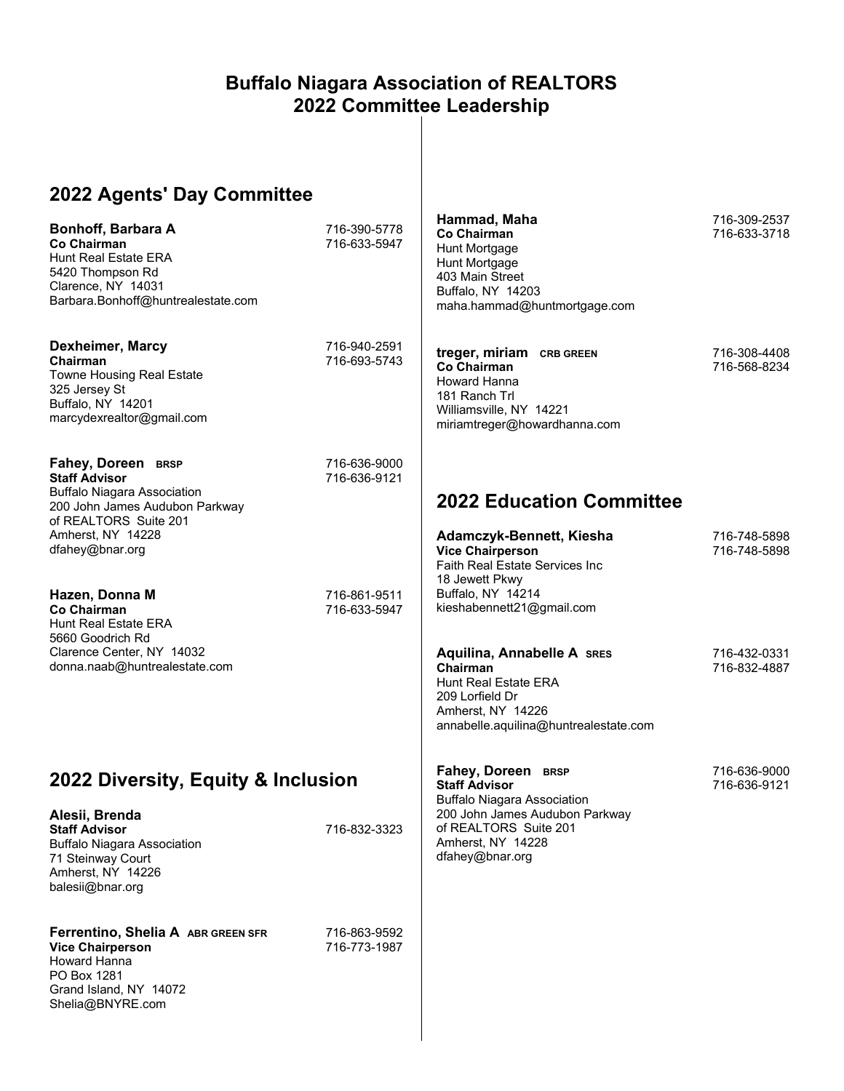#### **Buffalo Niagara Association of REALTORS 2022 Committee Leadership**

# **2022 Agents' Day Committee**

| Bonhoff, Barbara A<br>Co Chairman<br><b>Hunt Real Estate ERA</b><br>5420 Thompson Rd<br>Clarence, NY 14031<br>Barbara.Bonhoff@huntrealestate.com                                    | 716-390-5778<br>716-633-5947 | Hammad, Maha<br><b>Co Chairman</b><br>Hunt Mortgage<br>Hunt Mortgage<br>403 Main Street<br>Buffalo, NY 14203<br>maha.hammad@huntmortgage.com | 716-309-2537<br>716-633-3718 |
|-------------------------------------------------------------------------------------------------------------------------------------------------------------------------------------|------------------------------|----------------------------------------------------------------------------------------------------------------------------------------------|------------------------------|
| Dexheimer, Marcy<br>Chairman<br><b>Towne Housing Real Estate</b><br>325 Jersey St<br>Buffalo, NY 14201<br>marcydexrealtor@gmail.com                                                 | 716-940-2591<br>716-693-5743 | treger, miriam CRB GREEN<br><b>Co Chairman</b><br>Howard Hanna<br>181 Ranch Trl<br>Williamsville, NY 14221<br>miriamtreger@howardhanna.com   | 716-308-4408<br>716-568-8234 |
| Fahey, Doreen BRSP<br><b>Staff Advisor</b><br><b>Buffalo Niagara Association</b><br>200 John James Audubon Parkway<br>of REALTORS Suite 201<br>Amherst, NY 14228<br>dfahey@bnar.org | 716-636-9000<br>716-636-9121 | <b>2022 Education Committee</b><br>Adamczyk-Bennett, Kiesha<br><b>Vice Chairperson</b><br><b>Faith Real Estate Services Inc</b>              | 716-748-5898<br>716-748-5898 |
| Hazen, Donna M<br><b>Co Chairman</b><br><b>Hunt Real Estate ERA</b><br>5660 Goodrich Rd<br>Clarence Center, NY 14032                                                                | 716-861-9511<br>716-633-5947 | 18 Jewett Pkwy<br>Buffalo, NY 14214<br>kieshabennett21@gmail.com<br><b>Aquilina, Annabelle A SRES</b>                                        | 716-432-0331                 |
| donna.naab@huntrealestate.com                                                                                                                                                       |                              | Chairman<br><b>Hunt Real Estate ERA</b><br>209 Lorfield Dr<br>Amherst, NY 14226<br>annabelle.aquilina@huntrealestate.com                     | 716-832-4887                 |
| 2022 Diversity, Equity & Inclusion                                                                                                                                                  |                              | Fahey, Doreen BRSP<br><b>Staff Advisor</b><br><b>Buffalo Niagara Association</b>                                                             | 716-636-9000<br>716-636-9121 |
| Alesii, Brenda<br><b>Staff Advisor</b><br><b>Buffalo Niagara Association</b><br>71 Steinway Court<br>Amherst, NY 14226<br>balesii@bnar.org                                          | 716-832-3323                 | 200 John James Audubon Parkway<br>of REALTORS Suite 201<br>Amherst, NY 14228<br>dfahey@bnar.org                                              |                              |
| Ferrentino, Shelia A ABR GREEN SFR<br><b>Vice Chairperson</b><br><b>Howard Hanna</b><br>PO Box 1281<br>Grand Island, NY 14072<br>Shelia@BNYRE.com                                   | 716-863-9592<br>716-773-1987 |                                                                                                                                              |                              |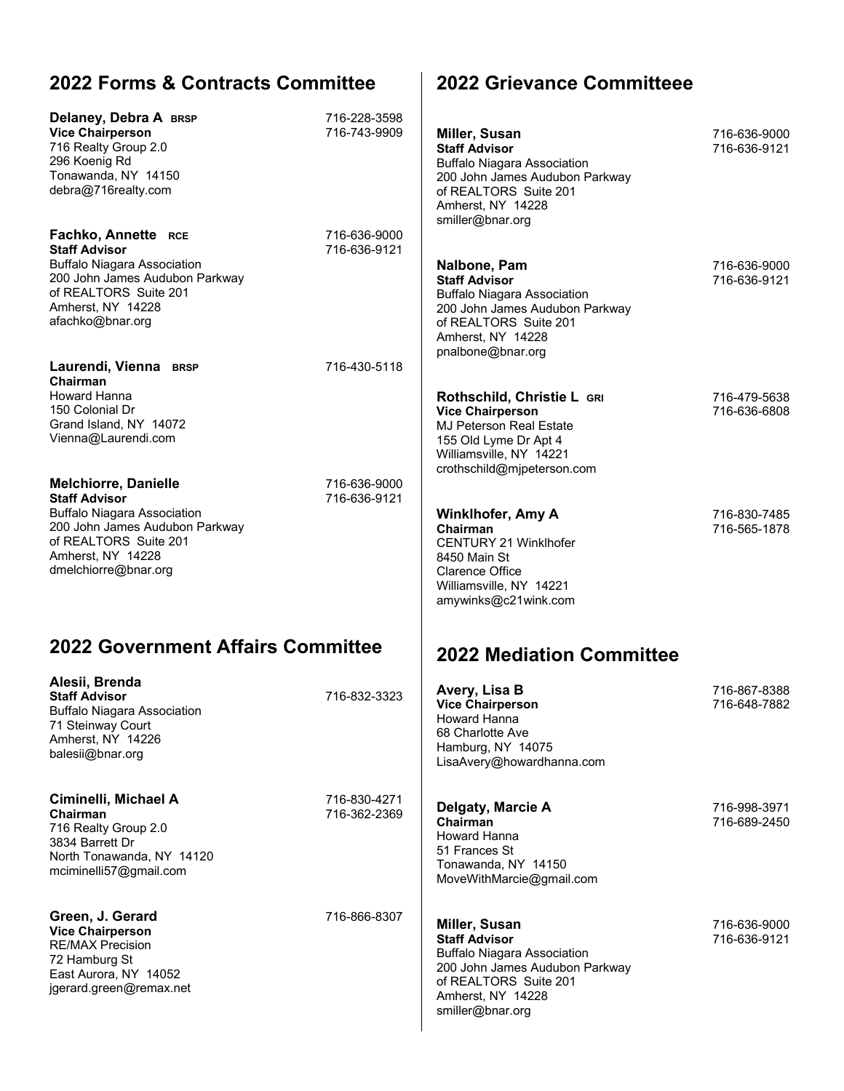## **2022 Forms & Contracts Committee**

| Delaney, Debra A BRSP<br><b>Vice Chairperson</b><br>716 Realty Group 2.0<br>296 Koenig Rd<br>Tonawanda, NY 14150<br>debra@716realty.com                                                           |                                   | 716-228-3598<br>716-743-9909 | Miller, Susan<br><b>Staff Advisor</b><br><b>Buffalo Niagara Association</b><br>200 John James Audubon Parkway<br>of REALTORS Suite 201<br>Amherst, NY 14228<br>smiller@bnar.org | 716-636-9000<br>716-636-9121 |
|---------------------------------------------------------------------------------------------------------------------------------------------------------------------------------------------------|-----------------------------------|------------------------------|---------------------------------------------------------------------------------------------------------------------------------------------------------------------------------|------------------------------|
| Fachko, Annette RCE<br><b>Staff Advisor</b><br><b>Buffalo Niagara Association</b><br>200 John James Audubon Parkway<br>of REALTORS Suite 201<br>Amherst, NY 14228<br>afachko@bnar.org             |                                   | 716-636-9000<br>716-636-9121 | Nalbone, Pam<br><b>Staff Advisor</b><br><b>Buffalo Niagara Association</b><br>200 John James Audubon Parkway<br>of REALTORS Suite 201<br>Amherst, NY 14228<br>pnalbone@bnar.org | 716-636-9000<br>716-636-9121 |
| Laurendi, Vienna BRSP<br>Chairman<br>Howard Hanna<br>150 Colonial Dr<br>Grand Island, NY 14072<br>Vienna@Laurendi.com                                                                             |                                   | 716-430-5118                 | Rothschild, Christie L GRI<br><b>Vice Chairperson</b><br><b>MJ Peterson Real Estate</b><br>155 Old Lyme Dr Apt 4<br>Williamsville, NY 14221<br>crothschild@mjpeterson.com       | 716-479-5638<br>716-636-6808 |
| <b>Melchiorre, Danielle</b><br><b>Staff Advisor</b><br><b>Buffalo Niagara Association</b><br>200 John James Audubon Parkway<br>of REALTORS Suite 201<br>Amherst, NY 14228<br>dmelchiorre@bnar.org |                                   | 716-636-9000<br>716-636-9121 | <b>Winklhofer, Amy A</b><br>Chairman<br><b>CENTURY 21 Winklhofer</b><br>8450 Main St<br>Clarence Office<br>Williamsville, NY 14221<br>amywinks@c21wink.com                      | 716-830-7485<br>716-565-1878 |
|                                                                                                                                                                                                   | 2022 Government Affairs Committee |                              | <b>2022 Mediation Committee</b>                                                                                                                                                 |                              |
| Alesii, Brenda<br><b>Staff Advisor</b><br><b>Buffalo Niagara Association</b><br>71 Steinway Court<br>Amherst, NY 14226<br>balesii@bnar.org                                                        |                                   | 716-832-3323                 | Avery, Lisa B<br><b>Vice Chairperson</b><br>Howard Hanna<br>68 Charlotte Ave<br>Hamburg, NY 14075<br>LisaAvery@howardhanna.com                                                  | 716-867-8388<br>716-648-7882 |
| Ciminelli, Michael A<br>Chairman<br>716 Realty Group 2.0<br>3834 Barrett Dr<br>North Tonawanda, NY 14120<br>mciminelli57@gmail.com                                                                |                                   | 716-830-4271<br>716-362-2369 | Delgaty, Marcie A<br>Chairman<br>Howard Hanna<br>51 Frances St<br>Tonawanda, NY 14150<br>MoveWithMarcie@gmail.com                                                               | 716-998-3971<br>716-689-2450 |
| Green, J. Gerard<br><b>Vice Chairperson</b><br><b>RE/MAX Precision</b><br>72 Hamburg St<br>East Aurora, NY 14052<br>jgerard.green@remax.net                                                       |                                   | 716-866-8307                 | Miller, Susan<br><b>Staff Advisor</b><br><b>Buffalo Niagara Association</b><br>200 John James Audubon Parkway<br>of REALTORS Suite 201<br>Amherst, NY 14228<br>smiller@bnar.org | 716-636-9000<br>716-636-9121 |

**2022 Grievance Committeee**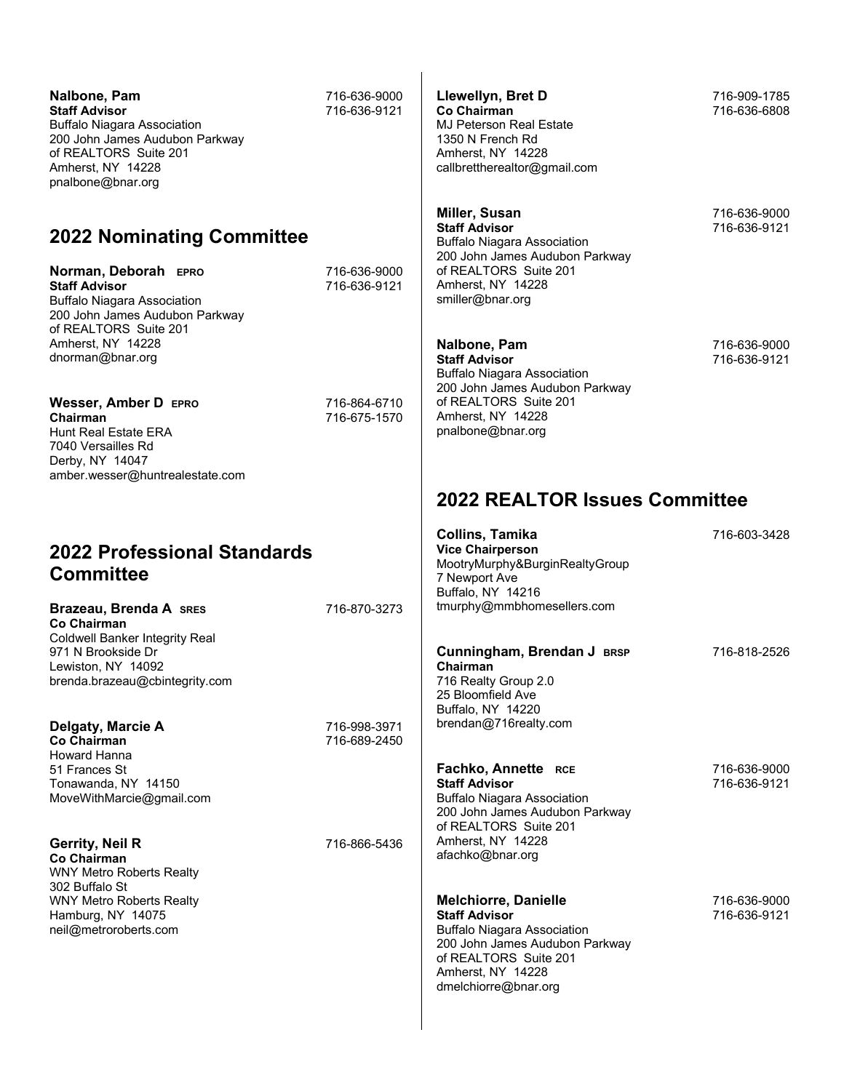| Nalbone, Pam<br><b>Staff Advisor</b><br><b>Buffalo Niagara Association</b><br>200 John James Audubon Parkway<br>of REALTORS Suite 201<br>Amherst, NY 14228<br>pnalbone@bnar.org                                                                                                                                                                                    | 716-636-9000<br>716-636-9121                                 | Llewellyn, Bret D<br><b>Co Chairman</b><br><b>MJ Peterson Real Estate</b><br>1350 N French Rd<br>Amherst, NY 14228<br>callbrettherealtor@gmail.com                                                                                                                                                                                                                 | 716-909-1785<br>716-636-6808                                 |
|--------------------------------------------------------------------------------------------------------------------------------------------------------------------------------------------------------------------------------------------------------------------------------------------------------------------------------------------------------------------|--------------------------------------------------------------|--------------------------------------------------------------------------------------------------------------------------------------------------------------------------------------------------------------------------------------------------------------------------------------------------------------------------------------------------------------------|--------------------------------------------------------------|
| <b>2022 Nominating Committee</b><br>Norman, Deborah EPRO<br><b>Staff Advisor</b><br><b>Buffalo Niagara Association</b><br>200 John James Audubon Parkway<br>of REALTORS Suite 201<br>Amherst, NY 14228<br>dnorman@bnar.org<br>Wesser, Amber D EPRO<br>Chairman<br>Hunt Real Estate ERA<br>7040 Versailles Rd<br>Derby, NY 14047<br>amber.wesser@huntrealestate.com | 716-636-9000<br>716-636-9121<br>716-864-6710<br>716-675-1570 | Miller, Susan<br><b>Staff Advisor</b><br><b>Buffalo Niagara Association</b><br>200 John James Audubon Parkway<br>of REALTORS Suite 201<br>Amherst, NY 14228<br>smiller@bnar.org<br>Nalbone, Pam<br><b>Staff Advisor</b><br><b>Buffalo Niagara Association</b><br>200 John James Audubon Parkway<br>of REALTORS Suite 201<br>Amherst, NY 14228<br>pnalbone@bnar.org | 716-636-9000<br>716-636-9121<br>716-636-9000<br>716-636-9121 |
|                                                                                                                                                                                                                                                                                                                                                                    |                                                              | <b>2022 REALTOR Issues Committee</b><br><b>Collins, Tamika</b>                                                                                                                                                                                                                                                                                                     | 716-603-3428                                                 |
| 2022 Professional Standards<br><b>Committee</b><br>Brazeau, Brenda A SRES<br>Co Chairman<br><b>Coldwell Banker Integrity Real</b><br>971 N Brookside Dr<br>Lewiston, NY 14092<br>brenda.brazeau@cbintegrity.com                                                                                                                                                    | 716-870-3273                                                 | <b>Vice Chairperson</b><br>MootryMurphy&BurginRealtyGroup<br>7 Newport Ave<br>Buffalo, NY 14216<br>tmurphy@mmbhomesellers.com<br>Cunningham, Brendan J BRSP<br>Chairman<br>716 Realty Group 2.0                                                                                                                                                                    | 716-818-2526                                                 |
| Delgaty, Marcie A<br><b>Co Chairman</b><br><b>Howard Hanna</b><br>51 Frances St                                                                                                                                                                                                                                                                                    | 716-998-3971<br>716-689-2450                                 | 25 Bloomfield Ave<br>Buffalo, NY 14220<br>brendan@716realty.com<br>Fachko, Annette RCE                                                                                                                                                                                                                                                                             | 716-636-9000                                                 |
| Tonawanda, NY 14150<br>MoveWithMarcie@gmail.com<br><b>Gerrity, Neil R</b><br><b>Co Chairman</b><br><b>WNY Metro Roberts Realty</b>                                                                                                                                                                                                                                 | 716-866-5436                                                 | <b>Staff Advisor</b><br><b>Buffalo Niagara Association</b><br>200 John James Audubon Parkway<br>of REALTORS Suite 201<br>Amherst, NY 14228<br>afachko@bnar.org                                                                                                                                                                                                     | 716-636-9121                                                 |
| 302 Buffalo St<br><b>WNY Metro Roberts Realty</b><br>Hamburg, NY 14075<br>neil@metroroberts.com                                                                                                                                                                                                                                                                    |                                                              | <b>Melchiorre, Danielle</b><br><b>Staff Advisor</b><br><b>Buffalo Niagara Association</b><br>200 John James Audubon Parkway<br>of REALTORS Suite 201<br>Amherst, NY 14228<br>dmelchiorre@bnar.org                                                                                                                                                                  | 716-636-9000<br>716-636-9121                                 |